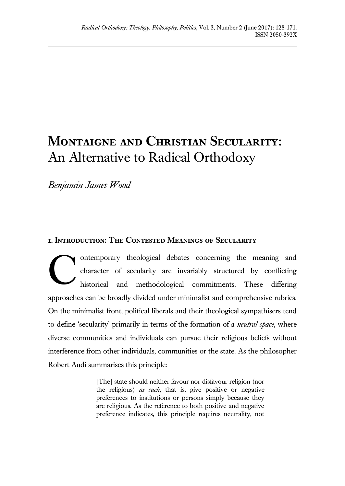# **Montaigne and Christian Secularity:** An Alternative to Radical Orthodoxy

*Benjamin James Wood*

## **1. Introduction: The Contested Meanings of Secularity**

ontemporary theological debates concerning the meaning and character of secularity are invariably structured by conflicting historical and methodological commitments. These differing approaches can be broadly divided under minimalist and comprehensive rubrics. On the minimalist front, political liberals and their theological sympathisers tend to define 'secularity' primarily in terms of the formation of a *neutral space*, where diverse communities and individuals can pursue their religious beliefs without interference from other individuals, communities or the state. As the philosopher Robert Audi summarises this principle: C

> [The] state should neither favour nor disfavour religion (nor the religious) *as such*, that is, give positive or negative preferences to institutions or persons simply because they are religious. As the reference to both positive and negative preference indicates, this principle requires neutrality, not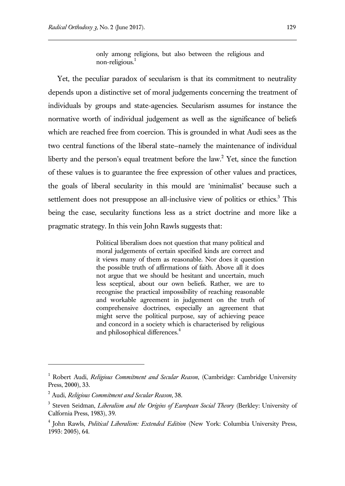only among religions, but also between the religious and non-religious.<sup>1</sup>

Yet, the peculiar paradox of secularism is that its commitment to neutrality depends upon a distinctive set of moral judgements concerning the treatment of individuals by groups and state-agencies. Secularism assumes for instance the normative worth of individual judgement as well as the significance of beliefs which are reached free from coercion. This is grounded in what Audi sees as the two central functions of the liberal state—namely the maintenance of individual liberty and the person's equal treatment before the law.<sup>2</sup> Yet, since the function of these values is to guarantee the free expression of other values and practices, the goals of liberal secularity in this mould are 'minimalist' because such a settlement does not presuppose an all-inclusive view of politics or ethics.<sup>3</sup> This being the case, secularity functions less as a strict doctrine and more like a pragmatic strategy. In this vein John Rawls suggests that:

> Political liberalism does not question that many political and moral judgements of certain specified kinds are correct and it views many of them as reasonable. Nor does it question the possible truth of affirmations of faith. Above all it does not argue that we should be hesitant and uncertain, much less sceptical, about our own beliefs. Rather, we are to recognise the practical impossibility of reaching reasonable and workable agreement in judgement on the truth of comprehensive doctrines, especially an agreement that might serve the political purpose, say of achieving peace and concord in a society which is characterised by religious and philosophical differences.<sup>4</sup>

<sup>1</sup> Robert Audi, *Religious Commitment and Secular Reason*, (Cambridge: Cambridge University Press, 2000), 33.

<sup>2</sup> Audi, *Religious Commitment and Secular Reason*, 38.

<sup>3</sup> Steven Seidman, *Liberalism and the Origins of European Social Theory* (Berkley: University of Calfornia Press, 1983), 39.

<sup>4</sup> John Rawls, *Political Liberalism: Extended Edition* (New York: Columbia University Press, 1993: 2005), 64.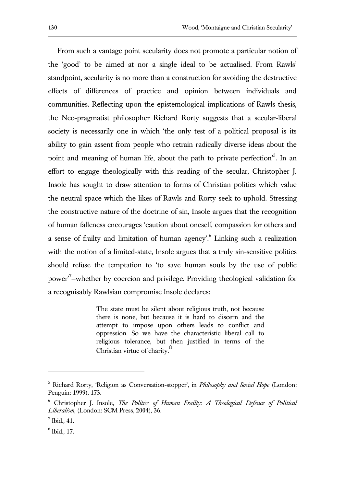From such a vantage point secularity does not promote a particular notion of the 'good' to be aimed at nor a single ideal to be actualised. From Rawls' standpoint, secularity is no more than a construction for avoiding the destructive effects of differences of practice and opinion between individuals and communities. Reflecting upon the epistemological implications of Rawls thesis, the Neo-pragmatist philosopher Richard Rorty suggests that a secular-liberal society is necessarily one in which 'the only test of a political proposal is its ability to gain assent from people who retrain radically diverse ideas about the point and meaning of human life, about the path to private perfection<sup>5</sup>. In an effort to engage theologically with this reading of the secular, Christopher J. Insole has sought to draw attention to forms of Christian politics which value the neutral space which the likes of Rawls and Rorty seek to uphold. Stressing the constructive nature of the doctrine of sin, Insole argues that the recognition of human falleness encourages 'caution about oneself, compassion for others and a sense of frailty and limitation of human agency<sup>'</sup>.<sup>6</sup> Linking such a realization with the notion of a limited-state, Insole argues that a truly sin-sensitive politics should refuse the temptation to 'to save human souls by the use of public power'<sup>7</sup> —whether by coercion and privilege. Providing theological validation for a recognisably Rawlsian compromise Insole declares:

> The state must be silent about religious truth, not because there is none, but because it is hard to discern and the attempt to impose upon others leads to conflict and oppression. So we have the characteristic liberal call to religious tolerance, but then justified in terms of the Christian virtue of charity.<sup>8</sup>

<sup>5</sup> Richard Rorty, 'Religion as Conversation-stopper', in *Philosophy and Social Hope* (London: Penguin: 1999), 173.

<sup>6</sup> Christopher J. Insole, *The Politics of Human Frailty: A Theological Defence of Political Liberalism*, (London: SCM Press, 2004), 36.

<sup>7</sup> Ibid.*,* 41.

<sup>8</sup> Ibid.*,* 17.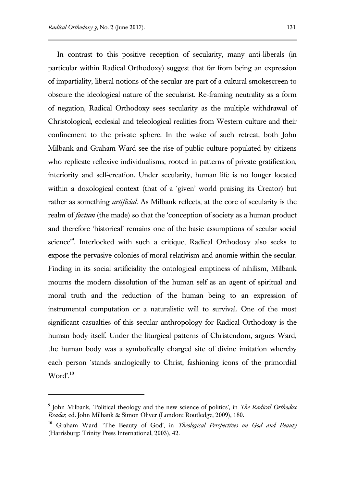$\overline{a}$ 

In contrast to this positive reception of secularity, many anti-liberals (in particular within Radical Orthodoxy) suggest that far from being an expression of impartiality, liberal notions of the secular are part of a cultural smokescreen to obscure the ideological nature of the secularist. Re-framing neutrality as a form of negation, Radical Orthodoxy sees secularity as the multiple withdrawal of Christological, ecclesial and teleological realities from Western culture and their confinement to the private sphere. In the wake of such retreat, both John Milbank and Graham Ward see the rise of public culture populated by citizens who replicate reflexive individualisms, rooted in patterns of private gratification, interiority and self-creation. Under secularity, human life is no longer located within a doxological context (that of a 'given' world praising its Creator) but rather as something *artificial*. As Milbank reflects, at the core of secularity is the realm of *factum* (the made) so that the 'conception of society as a human product and therefore 'historical' remains one of the basic assumptions of secular social science<sup>'9</sup>. Interlocked with such a critique, Radical Orthodoxy also seeks to expose the pervasive colonies of moral relativism and anomie within the secular. Finding in its social artificiality the ontological emptiness of nihilism, Milbank mourns the modern dissolution of the human self as an agent of spiritual and moral truth and the reduction of the human being to an expression of instrumental computation or a naturalistic will to survival. One of the most significant casualties of this secular anthropology for Radical Orthodoxy is the human body itself. Under the liturgical patterns of Christendom, argues Ward, the human body was a symbolically charged site of divine imitation whereby each person 'stands analogically to Christ, fashioning icons of the primordial  $Word<sup>, 10</sup>$ 

<sup>9</sup> John Milbank, 'Political theology and the new science of politics', in *The Radical Orthodox Reader*, ed. John Milbank & Simon Oliver (London: Routledge, 2009), 180.

<sup>10</sup> Graham Ward, 'The Beauty of God', in *Theological Perspectives on God and Beauty* (Harrisburg: Trinity Press International, 2003), 42.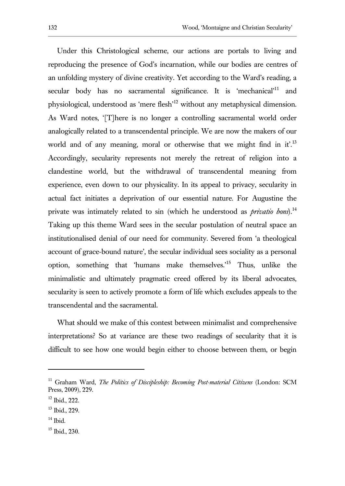Under this Christological scheme, our actions are portals to living and reproducing the presence of God's incarnation, while our bodies are centres of an unfolding mystery of divine creativity. Yet according to the Ward's reading, a secular body has no sacramental significance. It is 'mechanical'<sup>11</sup> and physiological, understood as 'mere flesh'<sup>12</sup> without any metaphysical dimension. As Ward notes, '[T]here is no longer a controlling sacramental world order analogically related to a transcendental principle. We are now the makers of our world and of any meaning, moral or otherwise that we might find in it'.<sup>13</sup> Accordingly, secularity represents not merely the retreat of religion into a clandestine world, but the withdrawal of transcendental meaning from experience, even down to our physicality. In its appeal to privacy, secularity in actual fact initiates a deprivation of our essential nature. For Augustine the private was intimately related to sin (which he understood as *privatio boni*).<sup>14</sup> Taking up this theme Ward sees in the secular postulation of neutral space an institutionalised denial of our need for community. Severed from 'a theological account of grace-bound nature', the secular individual sees sociality as a personal option, something that 'humans make themselves.'<sup>15</sup> Thus, unlike the minimalistic and ultimately pragmatic creed offered by its liberal advocates, secularity is seen to actively promote a form of life which excludes appeals to the transcendental and the sacramental.

What should we make of this contest between minimalist and comprehensive interpretations? So at variance are these two readings of secularity that it is difficult to see how one would begin either to choose between them, or begin

<sup>11</sup> Graham Ward, *The Politics of Discipleship: Becoming Post-material Citizens* (London: SCM Press, 2009), 229.

<sup>12</sup> Ibid., 222.

<sup>13</sup> Ibid., 229.

 $14$  Ibid.

 $15$  Ibid., 230.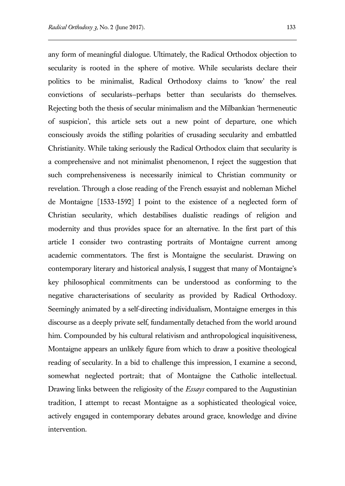any form of meaningful dialogue. Ultimately, the Radical Orthodox objection to secularity is rooted in the sphere of motive. While secularists declare their politics to be minimalist, Radical Orthodoxy claims to 'know' the real convictions of secularists—perhaps better than secularists do themselves. Rejecting both the thesis of secular minimalism and the Milbankian 'hermeneutic of suspicion', this article sets out a new point of departure, one which consciously avoids the stifling polarities of crusading secularity and embattled Christianity. While taking seriously the Radical Orthodox claim that secularity is a comprehensive and not minimalist phenomenon, I reject the suggestion that such comprehensiveness is necessarily inimical to Christian community or revelation. Through a close reading of the French essayist and nobleman Michel de Montaigne [1533-1592] I point to the existence of a neglected form of Christian secularity, which destabilises dualistic readings of religion and modernity and thus provides space for an alternative. In the first part of this article I consider two contrasting portraits of Montaigne current among academic commentators. The first is Montaigne the secularist. Drawing on contemporary literary and historical analysis, I suggest that many of Montaigne's key philosophical commitments can be understood as conforming to the negative characterisations of secularity as provided by Radical Orthodoxy. Seemingly animated by a self-directing individualism, Montaigne emerges in this discourse as a deeply private self, fundamentally detached from the world around him. Compounded by his cultural relativism and anthropological inquisitiveness, Montaigne appears an unlikely figure from which to draw a positive theological reading of secularity. In a bid to challenge this impression, I examine a second, somewhat neglected portrait; that of Montaigne the Catholic intellectual. Drawing links between the religiosity of the *Essays* compared to the Augustinian tradition, I attempt to recast Montaigne as a sophisticated theological voice, actively engaged in contemporary debates around grace, knowledge and divine intervention.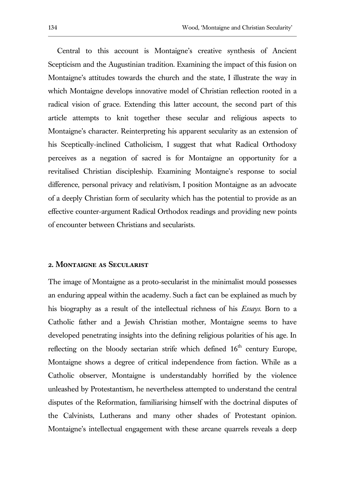Central to this account is Montaigne's creative synthesis of Ancient Scepticism and the Augustinian tradition. Examining the impact of this fusion on Montaigne's attitudes towards the church and the state, I illustrate the way in which Montaigne develops innovative model of Christian reflection rooted in a radical vision of grace. Extending this latter account, the second part of this article attempts to knit together these secular and religious aspects to Montaigne's character. Reinterpreting his apparent secularity as an extension of his Sceptically-inclined Catholicism, I suggest that what Radical Orthodoxy perceives as a negation of sacred is for Montaigne an opportunity for a revitalised Christian discipleship. Examining Montaigne's response to social difference, personal privacy and relativism, I position Montaigne as an advocate of a deeply Christian form of secularity which has the potential to provide as an effective counter-argument Radical Orthodox readings and providing new points of encounter between Christians and secularists.

#### **2. Montaigne as Secularist**

The image of Montaigne as a proto-secularist in the minimalist mould possesses an enduring appeal within the academy. Such a fact can be explained as much by his biography as a result of the intellectual richness of his *Essays*. Born to a Catholic father and a Jewish Christian mother, Montaigne seems to have developed penetrating insights into the defining religious polarities of his age. In reflecting on the bloody sectarian strife which defined  $16<sup>th</sup>$  century Europe, Montaigne shows a degree of critical independence from faction. While as a Catholic observer, Montaigne is understandably horrified by the violence unleashed by Protestantism, he nevertheless attempted to understand the central disputes of the Reformation, familiarising himself with the doctrinal disputes of the Calvinists, Lutherans and many other shades of Protestant opinion. Montaigne's intellectual engagement with these arcane quarrels reveals a deep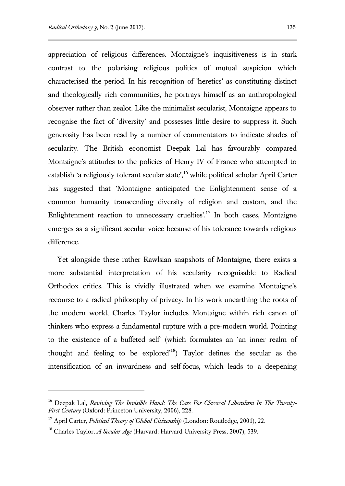appreciation of religious differences. Montaigne's inquisitiveness is in stark contrast to the polarising religious politics of mutual suspicion which characterised the period. In his recognition of 'heretics' as constituting distinct and theologically rich communities, he portrays himself as an anthropological observer rather than zealot. Like the minimalist secularist, Montaigne appears to recognise the fact of 'diversity' and possesses little desire to suppress it. Such generosity has been read by a number of commentators to indicate shades of secularity. The British economist Deepak Lal has favourably compared Montaigne's attitudes to the policies of Henry IV of France who attempted to establish 'a religiously tolerant secular state',<sup>16</sup> while political scholar April Carter has suggested that 'Montaigne anticipated the Enlightenment sense of a common humanity transcending diversity of religion and custom, and the Enlightenment reaction to unnecessary cruelties'.<sup>17</sup> In both cases, Montaigne emerges as a significant secular voice because of his tolerance towards religious difference.

Yet alongside these rather Rawlsian snapshots of Montaigne, there exists a more substantial interpretation of his secularity recognisable to Radical Orthodox critics. This is vividly illustrated when we examine Montaigne's recourse to a radical philosophy of privacy. In his work unearthing the roots of the modern world, Charles Taylor includes Montaigne within rich canon of thinkers who express a fundamental rupture with a pre-modern world. Pointing to the existence of a buffeted self' (which formulates an 'an inner realm of thought and feeling to be explored'<sup>18</sup>) Taylor defines the secular as the intensification of an inwardness and self-focus, which leads to a deepening

<sup>&</sup>lt;sup>16</sup> Deepak Lal, *Reviving The Invisible Hand: The Case For Classical Liberalism In The Twenty-First Century* (Oxford: Princeton University, 2006), 228.

<sup>&</sup>lt;sup>17</sup> April Carter, *Political Theory of Global Citizenship* (London: Routledge, 2001), 22.

<sup>18</sup> Charles Taylor, *A Secular Age* (Harvard: Harvard University Press, 2007), 539.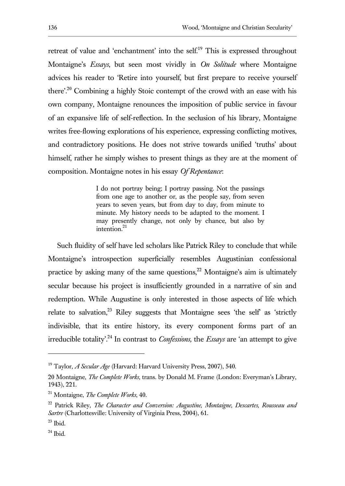retreat of value and 'enchantment' into the self.<sup>19</sup> This is expressed throughout Montaigne's *Essays*, but seen most vividly in *On Solitude* where Montaigne advices his reader to 'Retire into yourself, but first prepare to receive yourself there'.<sup>20</sup> Combining a highly Stoic contempt of the crowd with an ease with his own company, Montaigne renounces the imposition of public service in favour of an expansive life of self-reflection. In the seclusion of his library, Montaigne writes free-flowing explorations of his experience, expressing conflicting motives, and contradictory positions. He does not strive towards unified 'truths' about himself, rather he simply wishes to present things as they are at the moment of composition. Montaigne notes in his essay *Of Repentance*:

> I do not portray being; I portray passing. Not the passings from one age to another or, as the people say, from seven years to seven years, but from day to day, from minute to minute. My history needs to be adapted to the moment. I may presently change, not only by chance, but also by intention.<sup>21</sup>

Such fluidity of self have led scholars like Patrick Riley to conclude that while Montaigne's introspection superficially resembles Augustinian confessional practice by asking many of the same questions, $^{22}$  Montaigne's aim is ultimately secular because his project is insufficiently grounded in a narrative of sin and redemption. While Augustine is only interested in those aspects of life which relate to salvation,<sup>23</sup> Riley suggests that Montaigne sees 'the self' as 'strictly indivisible, that its entire history, its every component forms part of an irreducible totality<sup>'24</sup> In contrast to *Confessions*, the *Essays* are 'an attempt to give

<sup>&</sup>lt;sup>19</sup> Taylor, *A Secular Age* (Harvard: Harvard University Press, 2007), 540.

<sup>20</sup> Montaigne, *The Complete Works*, trans. by Donald M. Frame (London: Everyman's Library, 1943), 221.

<sup>21</sup> Montaigne, *The Complete Works*, 40.

<sup>22</sup> Patrick Riley, *The Character and Conversion: Augustine, Montaigne, Descartes, Rousseau and Sartre* (Charlottesville: University of Virginia Press, 2004), 61.

 $23$  Ibid.

 $24$  Ibid.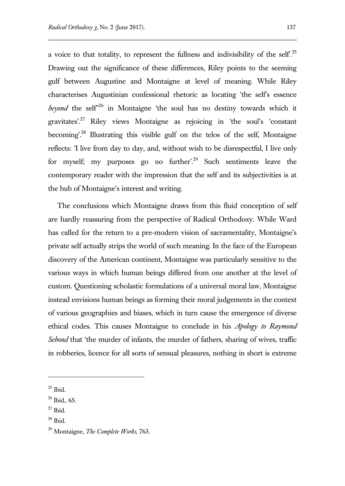a voice to that totality, to represent the fullness and indivisibility of the self.<sup>25</sup> Drawing out the significance of these differences, Riley points to the seeming gulf between Augustine and Montaigne at level of meaning. While Riley characterises Augustinian confessional rhetoric as locating 'the self's essence *beyond* the self<sup>326</sup> in Montaigne 'the soul has no destiny towards which it gravitates'.<sup>27</sup> Riley views Montaigne as rejoicing in 'the soul's 'constant becoming'.<sup>28</sup> Illustrating this visible gulf on the telos of the self, Montaigne reflects: 'I live from day to day, and, without wish to be disrespectful, I live only for myself; my purposes go no further'.<sup>29</sup> Such sentiments leave the contemporary reader with the impression that the self and its subjectivities is at the hub of Montaigne's interest and writing.

The conclusions which Montaigne draws from this fluid conception of self are hardly reassuring from the perspective of Radical Orthodoxy. While Ward has called for the return to a pre-modern vision of sacramentality, Montaigne's private self actually strips the world of such meaning. In the face of the European discovery of the American continent, Montaigne was particularly sensitive to the various ways in which human beings differed from one another at the level of custom. Questioning scholastic formulations of a universal moral law, Montaigne instead envisions human beings as forming their moral judgements in the context of various geographies and biases, which in turn cause the emergence of diverse ethical codes. This causes Montaigne to conclude in his *Apology to Raymond Sebond* that 'the murder of infants, the murder of fathers, sharing of wives, traffic in robberies, licence for all sorts of sensual pleasures, nothing in short is extreme

 $25$  Ibid.

<sup>26</sup> Ibid.*,* 65.

 $27$  Ibid.

<sup>28</sup> Ibid.

<sup>29</sup> Montaigne, *The Complete Works*, 763.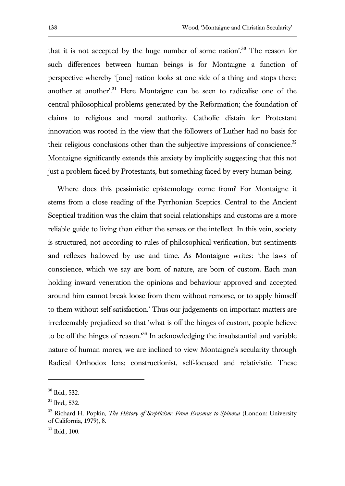that it is not accepted by the huge number of some nation'.<sup>30</sup> The reason for such differences between human beings is for Montaigne a function of perspective whereby '[one] nation looks at one side of a thing and stops there; another at another'.<sup>31</sup> Here Montaigne can be seen to radicalise one of the central philosophical problems generated by the Reformation; the foundation of claims to religious and moral authority. Catholic distain for Protestant innovation was rooted in the view that the followers of Luther had no basis for their religious conclusions other than the subjective impressions of conscience.<sup>32</sup> Montaigne significantly extends this anxiety by implicitly suggesting that this not just a problem faced by Protestants, but something faced by every human being.

Where does this pessimistic epistemology come from? For Montaigne it stems from a close reading of the Pyrrhonian Sceptics. Central to the Ancient Sceptical tradition was the claim that social relationships and customs are a more reliable guide to living than either the senses or the intellect. In this vein, society is structured, not according to rules of philosophical verification, but sentiments and reflexes hallowed by use and time. As Montaigne writes: 'the laws of conscience, which we say are born of nature, are born of custom. Each man holding inward veneration the opinions and behaviour approved and accepted around him cannot break loose from them without remorse, or to apply himself to them without self-satisfaction.' Thus our judgements on important matters are irredeemably prejudiced so that 'what is off the hinges of custom, people believe to be off the hinges of reason.'<sup>33</sup> In acknowledging the insubstantial and variable nature of human mores, we are inclined to view Montaigne's secularity through Radical Orthodox lens; constructionist, self-focused and relativistic. These

<sup>30</sup> Ibid., 532.

<sup>31</sup> Ibid.*,* 532.

<sup>32</sup> Richard H. Popkin, *The History of Scepticism: From Erasmus to Spinoza* (London: University of California, 1979), 8.

<sup>33</sup> Ibid.*,* 100.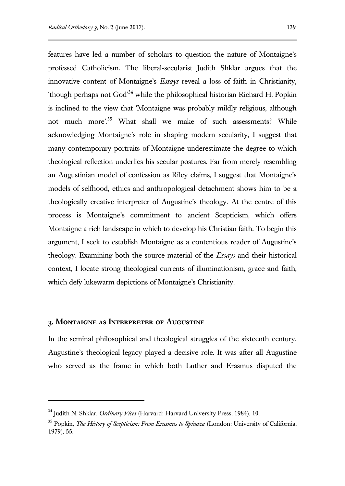features have led a number of scholars to question the nature of Montaigne's professed Catholicism. The liberal-secularist Judith Shklar argues that the innovative content of Montaigne's *Essays* reveal a loss of faith in Christianity, 'though perhaps not God'<sup>34</sup> while the philosophical historian Richard H. Popkin is inclined to the view that 'Montaigne was probably mildly religious, although not much more'.<sup>35</sup> What shall we make of such assessments? While acknowledging Montaigne's role in shaping modern secularity, I suggest that many contemporary portraits of Montaigne underestimate the degree to which theological reflection underlies his secular postures. Far from merely resembling an Augustinian model of confession as Riley claims, I suggest that Montaigne's models of selfhood, ethics and anthropological detachment shows him to be a theologically creative interpreter of Augustine's theology. At the centre of this process is Montaigne's commitment to ancient Scepticism, which offers Montaigne a rich landscape in which to develop his Christian faith. To begin this argument, I seek to establish Montaigne as a contentious reader of Augustine's theology. Examining both the source material of the *Essays* and their historical context, I locate strong theological currents of illuminationism, grace and faith, which defy lukewarm depictions of Montaigne's Christianity.

### **3. Montaigne as Interpreter of Augustine**

 $\overline{a}$ 

In the seminal philosophical and theological struggles of the sixteenth century, Augustine's theological legacy played a decisive role. It was after all Augustine who served as the frame in which both Luther and Erasmus disputed the

<sup>34</sup> Judith N. Shklar, *Ordinary Vices* (Harvard: Harvard University Press, 1984), 10.

<sup>35</sup> Popkin, *The History of Scepticism: From Erasmus to Spinoza* (London: University of California, 1979), 55.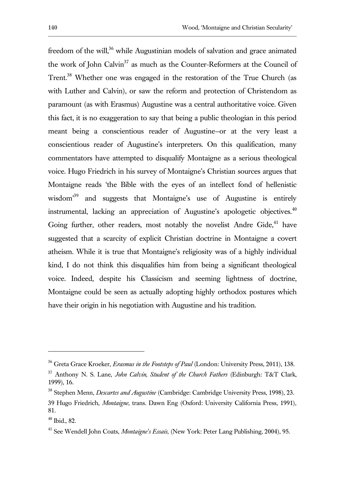freedom of the will,<sup>36</sup> while Augustinian models of salvation and grace animated the work of John Calvin<sup>37</sup> as much as the Counter-Reformers at the Council of Trent.<sup>38</sup> Whether one was engaged in the restoration of the True Church (as with Luther and Calvin), or saw the reform and protection of Christendom as paramount (as with Erasmus) Augustine was a central authoritative voice. Given this fact, it is no exaggeration to say that being a public theologian in this period meant being a conscientious reader of Augustine—or at the very least a conscientious reader of Augustine's interpreters. On this qualification, many commentators have attempted to disqualify Montaigne as a serious theological voice. Hugo Friedrich in his survey of Montaigne's Christian sources argues that Montaigne reads 'the Bible with the eyes of an intellect fond of hellenistic wisdom<sup>39</sup> and suggests that Montaigne's use of Augustine is entirely instrumental, lacking an appreciation of Augustine's apologetic objectives. $40$ Going further, other readers, most notably the novelist Andre Gide, $41$  have suggested that a scarcity of explicit Christian doctrine in Montaigne a covert atheism. While it is true that Montaigne's religiosity was of a highly individual kind, I do not think this disqualifies him from being a significant theological voice. Indeed, despite his Classicism and seeming lightness of doctrine, Montaigne could be seen as actually adopting highly orthodox postures which have their origin in his negotiation with Augustine and his tradition.

<sup>36</sup> Greta Grace Kroeker, *Erasmus in the Footsteps of Paul* (London: University Press, 2011), 138.

<sup>37</sup> Anthony N. S. Lane, *John Calvin, Student of the Church Fathers* (Edinburgh: T&T Clark, 1999), 16.

<sup>38</sup> Stephen Menn, *Descartes and Augustine* (Cambridge: Cambridge University Press, 1998), 23.

<sup>39</sup> Hugo Friedrich, *Montaigne*, trans. Dawn Eng (Oxford: University California Press, 1991), 81.

<sup>40</sup> Ibid., 82.

<sup>41</sup> See Wendell John Coats, *Montaigne's Essais*, (New York: Peter Lang Publishing, 2004), 95.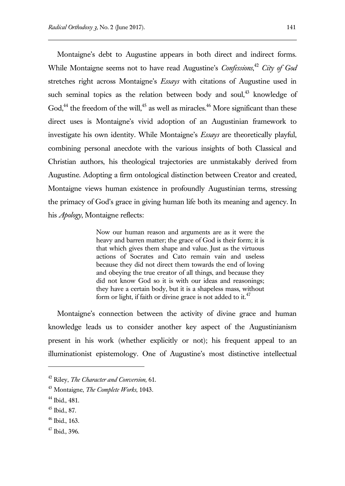Montaigne's debt to Augustine appears in both direct and indirect forms. While Montaigne seems not to have read Augustine's *Confessions*, <sup>42</sup> *City of God* stretches right across Montaigne's *Essays* with citations of Augustine used in such seminal topics as the relation between body and soul,<sup>43</sup> knowledge of God, $^{44}$  the freedom of the will, $^{45}$  as well as miracles. $^{46}$  More significant than these direct uses is Montaigne's vivid adoption of an Augustinian framework to investigate his own identity. While Montaigne's *Essays* are theoretically playful, combining personal anecdote with the various insights of both Classical and Christian authors, his theological trajectories are unmistakably derived from Augustine. Adopting a firm ontological distinction between Creator and created, Montaigne views human existence in profoundly Augustinian terms, stressing the primacy of God's grace in giving human life both its meaning and agency. In his *Apology*, Montaigne reflects:

> Now our human reason and arguments are as it were the heavy and barren matter; the grace of God is their form; it is that which gives them shape and value. Just as the virtuous actions of Socrates and Cato remain vain and useless because they did not direct them towards the end of loving and obeying the true creator of all things, and because they did not know God so it is with our ideas and reasonings; they have a certain body, but it is a shapeless mass, without form or light, if faith or divine grace is not added to it.  $47$

Montaigne's connection between the activity of divine grace and human knowledge leads us to consider another key aspect of the Augustinianism present in his work (whether explicitly or not); his frequent appeal to an illuminationist epistemology. One of Augustine's most distinctive intellectual

<sup>42</sup> Riley, *The Character and Conversion,* 61.

<sup>43</sup> Montaigne, *The Complete Works*, 1043.

<sup>44</sup> Ibid.*,* 481.

<sup>45</sup> Ibid., 87.

 $46$  Ibid., 163.

<sup>47</sup> Ibid.*,* 396.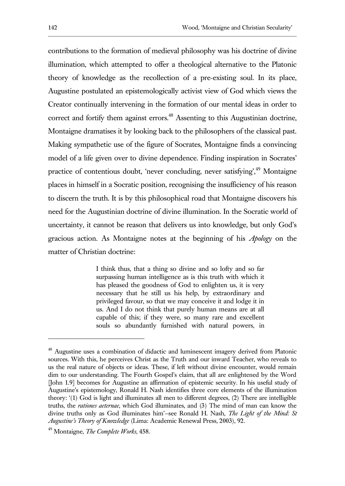contributions to the formation of medieval philosophy was his doctrine of divine illumination, which attempted to offer a theological alternative to the Platonic theory of knowledge as the recollection of a pre-existing soul. In its place, Augustine postulated an epistemologically activist view of God which views the Creator continually intervening in the formation of our mental ideas in order to correct and fortify them against errors.<sup>48</sup> Assenting to this Augustinian doctrine, Montaigne dramatises it by looking back to the philosophers of the classical past. Making sympathetic use of the figure of Socrates, Montaigne finds a convincing model of a life given over to divine dependence. Finding inspiration in Socrates' practice of contentious doubt, 'never concluding, never satisfying',<sup>49</sup> Montaigne places in himself in a Socratic position, recognising the insufficiency of his reason to discern the truth. It is by this philosophical road that Montaigne discovers his need for the Augustinian doctrine of divine illumination. In the Socratic world of uncertainty, it cannot be reason that delivers us into knowledge, but only God's gracious action. As Montaigne notes at the beginning of his *Apology* on the matter of Christian doctrine:

> I think thus, that a thing so divine and so lofty and so far surpassing human intelligence as is this truth with which it has pleased the goodness of God to enlighten us, it is very necessary that he still us his help, by extraordinary and privileged favour, so that we may conceive it and lodge it in us. And I do not think that purely human means are at all capable of this; if they were, so many rare and excellent souls so abundantly furnished with natural powers, in

<sup>&</sup>lt;sup>48</sup> Augustine uses a combination of didactic and luminescent imagery derived from Platonic sources. With this, he perceives Christ as the Truth and our inward Teacher, who reveals to us the real nature of objects or ideas. These, if left without divine encounter, would remain dim to our understanding. The Fourth Gospel's claim, that all are enlightened by the Word [John 1.9] becomes for Augustine an affirmation of epistemic security. In his useful study of Augustine's epistemology, Ronald H. Nash identifies three core elements of the illumination theory: '(1) God is light and illuminates all men to different degrees, (2) There are intelligible truths, the *rationes aeternae*, which God illuminates, and (3) The mind of man can know the divine truths only as God illuminates him'—see Ronald H. Nash, *The Light of the Mind: St Augustine's Theory of Knowledge* (Lima: Academic Renewal Press, 2003), 92.

<sup>49</sup> Montaigne, *The Complete Works*, 458.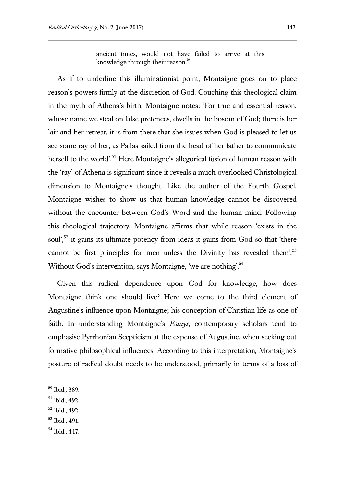ancient times, would not have failed to arrive at this knowledge through their reason. $50$ 

As if to underline this illuminationist point, Montaigne goes on to place reason's powers firmly at the discretion of God. Couching this theological claim in the myth of Athena's birth, Montaigne notes: 'For true and essential reason, whose name we steal on false pretences, dwells in the bosom of God; there is her lair and her retreat, it is from there that she issues when God is pleased to let us see some ray of her, as Pallas sailed from the head of her father to communicate herself to the world'.<sup>51</sup> Here Montaigne's allegorical fusion of human reason with the 'ray' of Athena is significant since it reveals a much overlooked Christological dimension to Montaigne's thought. Like the author of the Fourth Gospel, Montaigne wishes to show us that human knowledge cannot be discovered without the encounter between God's Word and the human mind. Following this theological trajectory, Montaigne affirms that while reason 'exists in the soul',<sup>52</sup> it gains its ultimate potency from ideas it gains from God so that 'there cannot be first principles for men unless the Divinity has revealed them'.<sup>53</sup> Without God's intervention, says Montaigne, 'we are nothing'.<sup>54</sup>

Given this radical dependence upon God for knowledge, how does Montaigne think one should live? Here we come to the third element of Augustine's influence upon Montaigne; his conception of Christian life as one of faith. In understanding Montaigne's *Essays*, contemporary scholars tend to emphasise Pyrrhonian Scepticism at the expense of Augustine, when seeking out formative philosophical influences. According to this interpretation, Montaigne's posture of radical doubt needs to be understood, primarily in terms of a loss of

l

<sup>52</sup> Ibid., 492.

<sup>50</sup> Ibid.*,* 389.

<sup>51</sup> Ibid.*,* 492.

<sup>53</sup> Ibid., 491.

<sup>54</sup> Ibid., 447.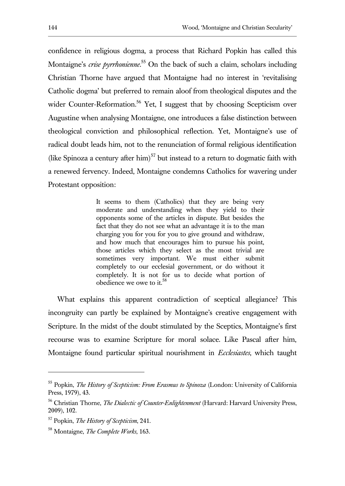confidence in religious dogma, a process that Richard Popkin has called this Montaigne's *crise pyrrhonienne*. <sup>55</sup> On the back of such a claim, scholars including Christian Thorne have argued that Montaigne had no interest in 'revitalising Catholic dogma' but preferred to remain aloof from theological disputes and the wider Counter-Reformation.<sup>56</sup> Yet, I suggest that by choosing Scepticism over Augustine when analysing Montaigne, one introduces a false distinction between theological conviction and philosophical reflection. Yet, Montaigne's use of radical doubt leads him, not to the renunciation of formal religious identification (like Spinoza a century after him)<sup>57</sup> but instead to a return to dogmatic faith with a renewed fervency. Indeed, Montaigne condemns Catholics for wavering under Protestant opposition:

> It seems to them (Catholics) that they are being very moderate and understanding when they yield to their opponents some of the articles in dispute. But besides the fact that they do not see what an advantage it is to the man charging you for you for you to give ground and withdraw, and how much that encourages him to pursue his point, those articles which they select as the most trivial are sometimes very important. We must either submit completely to our ecclesial government, or do without it completely. It is not for us to decide what portion of obedience we owe to it.<sup>58</sup>

What explains this apparent contradiction of sceptical allegiance? This incongruity can partly be explained by Montaigne's creative engagement with Scripture. In the midst of the doubt stimulated by the Sceptics, Montaigne's first recourse was to examine Scripture for moral solace. Like Pascal after him, Montaigne found particular spiritual nourishment in *Ecclesiastes*, which taught

<sup>55</sup> Popkin, *The History of Scepticism: From Erasmus to Spinoza* (London: University of California Press, 1979), 43.

<sup>56</sup> Christian Thorne, *The Dialectic of Counter-Enlightenment* (Harvard: Harvard University Press, 2009), 102.

<sup>57</sup> Popkin, *The History of Scepticism*, 241.

<sup>58</sup> Montaigne, *The Complete Works*, 163.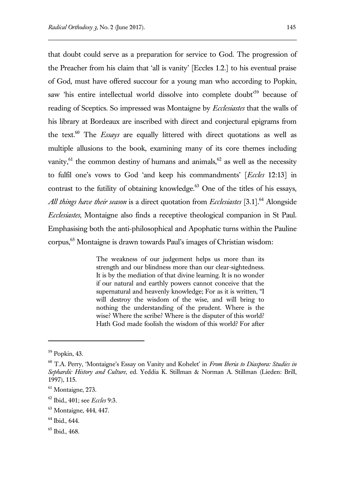that doubt could serve as a preparation for service to God. The progression of the Preacher from his claim that 'all is vanity' [Eccles 1.2.] to his eventual praise of God, must have offered succour for a young man who according to Popkin, saw 'his entire intellectual world dissolve into complete doubt<sup>59</sup> because of reading of Sceptics. So impressed was Montaigne by *Ecclesiastes* that the walls of his library at Bordeaux are inscribed with direct and conjectural epigrams from the text.<sup>60</sup> The *Essays* are equally littered with direct quotations as well as multiple allusions to the book, examining many of its core themes including vanity, $^{61}$  the common destiny of humans and animals, $^{62}$  as well as the necessity to fulfil one's vows to God 'and keep his commandments' [*Eccles* 12:13] in contrast to the futility of obtaining knowledge. $63$  One of the titles of his essays, *All things have their season* is a direct quotation from *Ecclesiastes* [3.1].<sup>64</sup> Alongside *Ecclesiastes*, Montaigne also finds a receptive theological companion in St Paul.

Emphasising both the anti-philosophical and Apophatic turns within the Pauline corpus,<sup>65</sup> Montaigne is drawn towards Paul's images of Christian wisdom:

> The weakness of our judgement helps us more than its strength and our blindness more than our clear-sightedness. It is by the mediation of that divine learning. It is no wonder if our natural and earthly powers cannot conceive that the supernatural and heavenly knowledge; For as it is written, "I will destroy the wisdom of the wise, and will bring to nothing the understanding of the prudent. Where is the wise? Where the scribe? Where is the disputer of this world? Hath God made foolish the wisdom of this world? For after

<sup>59</sup> Popkin, 43.

<sup>60</sup> T.A. Perry, 'Montaigne's Essay on Vanity and Kohelet' in *From Iberia to Diaspora: Studies in Sephardic History and Culture*, ed. Yeddia K. Stillman & Norman A. Stillman (Lieden: Brill, 1997), 115.

<sup>&</sup>lt;sup>61</sup> Montaigne, 273.

<sup>62</sup> Ibid., 401; see *Eccles* 9:3.

<sup>63</sup> Montaigne, 444, 447.

<sup>&</sup>lt;sup>64</sup> Ibid., 644.

<sup>65</sup> Ibid., 468.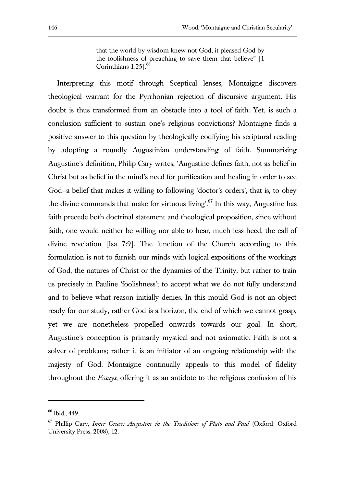that the world by wisdom knew not God, it pleased God by the foolishness of preaching to save them that believe" [1 Corinthians 1:25].<sup>66</sup>

Interpreting this motif through Sceptical lenses, Montaigne discovers theological warrant for the Pyrrhonian rejection of discursive argument. His doubt is thus transformed from an obstacle into a tool of faith. Yet, is such a conclusion sufficient to sustain one's religious convictions? Montaigne finds a positive answer to this question by theologically codifying his scriptural reading by adopting a roundly Augustinian understanding of faith. Summarising Augustine's definition, Philip Cary writes, 'Augustine defines faith, not as belief in Christ but as belief in the mind's need for purification and healing in order to see God—a belief that makes it willing to following 'doctor's orders', that is, to obey the divine commands that make for virtuous living'.<sup>67</sup> In this way, Augustine has faith precede both doctrinal statement and theological proposition, since without faith, one would neither be willing nor able to hear, much less heed, the call of divine revelation [Isa 7:9]. The function of the Church according to this formulation is not to furnish our minds with logical expositions of the workings of God, the natures of Christ or the dynamics of the Trinity, but rather to train us precisely in Pauline 'foolishness'; to accept what we do not fully understand and to believe what reason initially denies. In this mould God is not an object ready for our study, rather God is a horizon, the end of which we cannot grasp, yet we are nonetheless propelled onwards towards our goal. In short, Augustine's conception is primarily mystical and not axiomatic. Faith is not a solver of problems; rather it is an initiator of an ongoing relationship with the majesty of God. Montaigne continually appeals to this model of fidelity throughout the *Essays*, offering it as an antidote to the religious confusion of his

<sup>66</sup> Ibid., 449.

<sup>67</sup> Phillip Cary, *Inner Grace: Augustine in the Traditions of Plato and Paul* (Oxford: Oxford University Press, 2008), 12.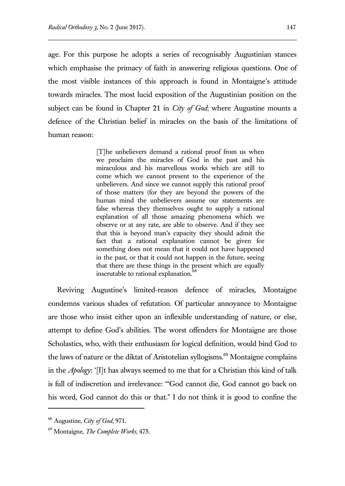age. For this purpose he adopts a series of recognisably Augustinian stances which emphasise the primacy of faith in answering religious questions. One of the most visible instances of this approach is found in Montaigne's attitude towards miracles. The most lucid exposition of the Augustinian position on the subject can be found in Chapter 21 in *City of God*; where Augustine mounts a defence of the Christian belief in miracles on the basis of the limitations of human reason:

> [T]he unbelievers demand a rational proof from us when we proclaim the miracles of God in the past and his miraculous and his marvellous works which are still to come which we cannot present to the experience of the unbelievers. And since we cannot supply this rational proof of those matters (for they are beyond the powers of the human mind the unbelievers assume our statements are false whereas they themselves ought to supply a rational explanation of all those amazing phenomena which we observe or at any rate, are able to observe. And if they see that this is beyond man's capacity they should admit the fact that a rational explanation cannot be given for something does not mean that it could not have happened in the past, or that it could not happen in the future, seeing that there are these things in the present which are equally inscrutable to rational explanation.<sup>68</sup>

Reviving Augustine's limited-reason defence of miracles, Montaigne condemns various shades of refutation. Of particular annoyance to Montaigne are those who insist either upon an inflexible understanding of nature, or else, attempt to define God's abilities. The worst offenders for Montaigne are those Scholastics, who, with their enthusiasm for logical definition, would bind God to the laws of nature or the diktat of Aristotelian syllogisms.<sup>69</sup> Montaigne complains in the *Apology*: '[I]t has always seemed to me that for a Christian this kind of talk is full of indiscretion and irrelevance: "'God cannot die, God cannot go back on his word, God cannot do this or that." I do not think it is good to confine the

<sup>68</sup> Augustine, *City of God*, 971.

<sup>69</sup> Montaigne, *The Complete Works*, 475.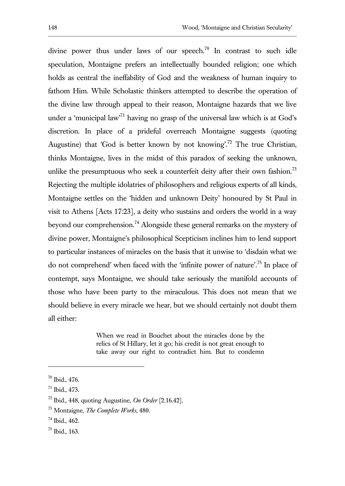divine power thus under laws of our speech.<sup>70</sup> In contrast to such idle speculation, Montaigne prefers an intellectually bounded religion; one which holds as central the ineffability of God and the weakness of human inquiry to fathom Him. While Scholastic thinkers attempted to describe the operation of the divine law through appeal to their reason, Montaigne hazards that we live under a 'municipal law<sup>71</sup> having no grasp of the universal law which is at God's discretion. In place of a prideful overreach Montaigne suggests (quoting Augustine) that 'God is better known by not knowing'.<sup>72</sup> The true Christian, thinks Montaigne, lives in the midst of this paradox of seeking the unknown, unlike the presumptuous who seek a counterfeit deity after their own fashion.<sup>73</sup> Rejecting the multiple idolatries of philosophers and religious experts of all kinds, Montaigne settles on the 'hidden and unknown Deity' honoured by St Paul in visit to Athens [Acts 17:23], a deity who sustains and orders the world in a way beyond our comprehension.<sup>74</sup> Alongside these general remarks on the mystery of divine power, Montaigne's philosophical Scepticism inclines him to lend support to particular instances of miracles on the basis that it unwise to 'disdain what we do not comprehend' when faced with the 'infinite power of nature'.<sup>75</sup> In place of contempt, says Montaigne, we should take seriously the manifold accounts of those who have been party to the miraculous. This does not mean that we should believe in every miracle we hear, but we should certainly not doubt them all either:

> When we read in Bouchet about the miracles done by the relics of St Hillary, let it go; his credit is not great enough to take away our right to contradict him. But to condemn

<sup>70</sup> Ibid., 476.

<sup>71</sup> Ibid., 473.

<sup>72</sup> Ibid., 448, quoting Augustine, *On Order* [2.16.42].

<sup>73</sup> Montaigne, *The Complete Works*, 480.

<sup>74</sup> Ibid., 462.

<sup>75</sup> Ibid., 163.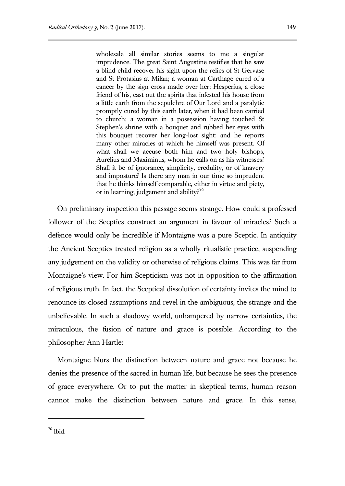wholesale all similar stories seems to me a singular imprudence. The great Saint Augustine testifies that he saw a blind child recover his sight upon the relics of St Gervase and St Protasius at Milan; a woman at Carthage cured of a cancer by the sign cross made over her; Hesperius, a close friend of his, cast out the spirits that infested his house from a little earth from the sepulchre of Our Lord and a paralytic promptly cured by this earth later, when it had been carried to church; a woman in a possession having touched St Stephen's shrine with a bouquet and rubbed her eyes with this bouquet recover her long-lost sight; and he reports many other miracles at which he himself was present. Of what shall we accuse both him and two holy bishops, Aurelius and Maximinus, whom he calls on as his witnesses? Shall it be of ignorance, simplicity, credulity, or of knavery and imposture? Is there any man in our time so imprudent that he thinks himself comparable, either in virtue and piety, or in learning, judgement and ability?<sup>76</sup>

On preliminary inspection this passage seems strange. How could a professed follower of the Sceptics construct an argument in favour of miracles? Such a defence would only be incredible if Montaigne was a pure Sceptic. In antiquity the Ancient Sceptics treated religion as a wholly ritualistic practice, suspending any judgement on the validity or otherwise of religious claims. This was far from Montaigne's view. For him Scepticism was not in opposition to the affirmation of religious truth. In fact, the Sceptical dissolution of certainty invites the mind to renounce its closed assumptions and revel in the ambiguous, the strange and the unbelievable. In such a shadowy world, unhampered by narrow certainties, the miraculous, the fusion of nature and grace is possible. According to the philosopher Ann Hartle:

Montaigne blurs the distinction between nature and grace not because he denies the presence of the sacred in human life, but because he sees the presence of grace everywhere. Or to put the matter in skeptical terms, human reason cannot make the distinction between nature and grace. In this sense,

<sup>76</sup> Ibid.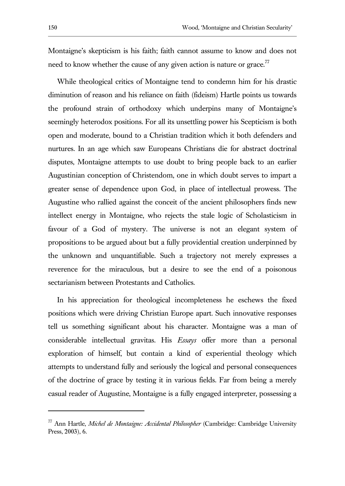Montaigne's skepticism is his faith; faith cannot assume to know and does not need to know whether the cause of any given action is nature or grace.<sup>77</sup>

While theological critics of Montaigne tend to condemn him for his drastic diminution of reason and his reliance on faith (fideism) Hartle points us towards the profound strain of orthodoxy which underpins many of Montaigne's seemingly heterodox positions. For all its unsettling power his Scepticism is both open and moderate, bound to a Christian tradition which it both defenders and nurtures. In an age which saw Europeans Christians die for abstract doctrinal disputes, Montaigne attempts to use doubt to bring people back to an earlier Augustinian conception of Christendom, one in which doubt serves to impart a greater sense of dependence upon God, in place of intellectual prowess. The Augustine who rallied against the conceit of the ancient philosophers finds new intellect energy in Montaigne, who rejects the stale logic of Scholasticism in favour of a God of mystery. The universe is not an elegant system of propositions to be argued about but a fully providential creation underpinned by the unknown and unquantifiable. Such a trajectory not merely expresses a reverence for the miraculous, but a desire to see the end of a poisonous sectarianism between Protestants and Catholics.

In his appreciation for theological incompleteness he eschews the fixed positions which were driving Christian Europe apart. Such innovative responses tell us something significant about his character. Montaigne was a man of considerable intellectual gravitas. His *Essays* offer more than a personal exploration of himself, but contain a kind of experiential theology which attempts to understand fully and seriously the logical and personal consequences of the doctrine of grace by testing it in various fields. Far from being a merely casual reader of Augustine, Montaigne is a fully engaged interpreter, possessing a

<sup>77</sup> Ann Hartle, *Michel de Montaigne: Accidental Philosopher* (Cambridge: Cambridge University Press, 2003), 6.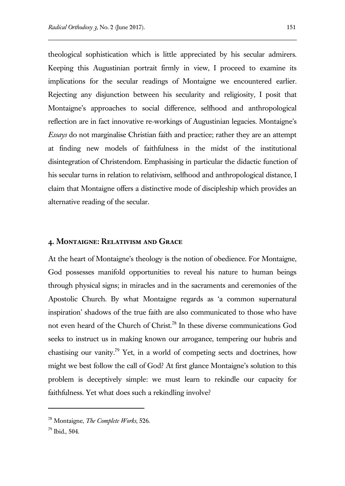theological sophistication which is little appreciated by his secular admirers. Keeping this Augustinian portrait firmly in view, I proceed to examine its implications for the secular readings of Montaigne we encountered earlier. Rejecting any disjunction between his secularity and religiosity, I posit that Montaigne's approaches to social difference, selfhood and anthropological reflection are in fact innovative re-workings of Augustinian legacies. Montaigne's *Essays* do not marginalise Christian faith and practice; rather they are an attempt at finding new models of faithfulness in the midst of the institutional disintegration of Christendom. Emphasising in particular the didactic function of his secular turns in relation to relativism, selfhood and anthropological distance, I claim that Montaigne offers a distinctive mode of discipleship which provides an alternative reading of the secular.

#### **4. Montaigne: Relativism and Grace**

At the heart of Montaigne's theology is the notion of obedience. For Montaigne, God possesses manifold opportunities to reveal his nature to human beings through physical signs; in miracles and in the sacraments and ceremonies of the Apostolic Church. By what Montaigne regards as 'a common supernatural inspiration' shadows of the true faith are also communicated to those who have not even heard of the Church of Christ.<sup>78</sup> In these diverse communications God seeks to instruct us in making known our arrogance, tempering our hubris and chastising our vanity.<sup>79</sup> Yet, in a world of competing sects and doctrines, how might we best follow the call of God? At first glance Montaigne's solution to this problem is deceptively simple: we must learn to rekindle our capacity for faithfulness. Yet what does such a rekindling involve?

<sup>78</sup> Montaigne, *The Complete Works*, 526.

 $79$  Ibid.,  $504$ .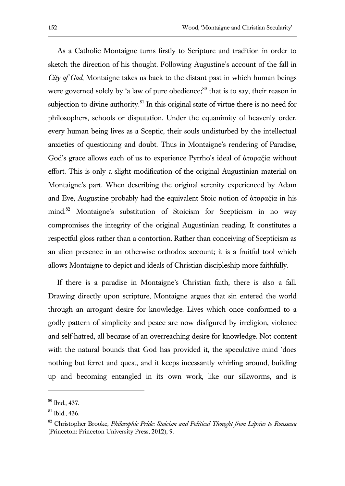As a Catholic Montaigne turns firstly to Scripture and tradition in order to sketch the direction of his thought. Following Augustine's account of the fall in *City of God*, Montaigne takes us back to the distant past in which human beings were governed solely by 'a law of pure obedience; $80$ <sup>0</sup> that is to say, their reason in subjection to divine authority. $81$  In this original state of virtue there is no need for philosophers, schools or disputation. Under the equanimity of heavenly order, every human being lives as a Sceptic, their souls undisturbed by the intellectual anxieties of questioning and doubt. Thus in Montaigne's rendering of Paradise, God's grace allows each of us to experience Pyrrho's ideal of ἀταραξία without effort. This is only a slight modification of the original Augustinian material on Montaigne's part. When describing the original serenity experienced by Adam and Eve, Augustine probably had the equivalent Stoic notion of ἀταραξία in his mind.<sup>82</sup> Montaigne's substitution of Stoicism for Scepticism in no way compromises the integrity of the original Augustinian reading. It constitutes a respectful gloss rather than a contortion. Rather than conceiving of Scepticism as an alien presence in an otherwise orthodox account; it is a fruitful tool which allows Montaigne to depict and ideals of Christian discipleship more faithfully.

If there is a paradise in Montaigne's Christian faith, there is also a fall. Drawing directly upon scripture, Montaigne argues that sin entered the world through an arrogant desire for knowledge. Lives which once conformed to a godly pattern of simplicity and peace are now disfigured by irreligion, violence and self-hatred, all because of an overreaching desire for knowledge. Not content with the natural bounds that God has provided it, the speculative mind 'does nothing but ferret and quest, and it keeps incessantly whirling around, building up and becoming entangled in its own work, like our silkworms, and is

<sup>80</sup> Ibid., 437.

<sup>81</sup> Ibid., 436.

<sup>82</sup> Christopher Brooke, *Philosophic Pride: Stoicism and Political Thought from Lipsius to Rousseau* (Princeton: Princeton University Press, 2012), 9.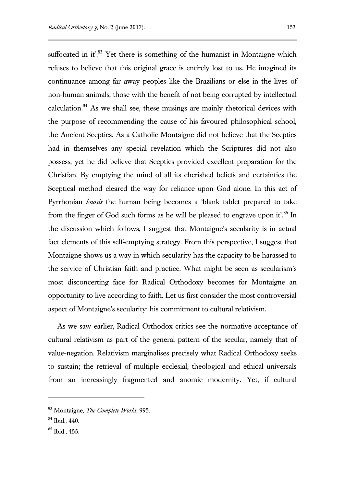suffocated in it.<sup>83</sup> Yet there is something of the humanist in Montaigne which refuses to believe that this original grace is entirely lost to us. He imagined its continuance among far away peoples like the Brazilians or else in the lives of non-human animals, those with the benefit of not being corrupted by intellectual calculation. $84$  As we shall see, these musings are mainly rhetorical devices with the purpose of recommending the cause of his favoured philosophical school, the Ancient Sceptics. As a Catholic Montaigne did not believe that the Sceptics had in themselves any special revelation which the Scriptures did not also possess, yet he did believe that Sceptics provided excellent preparation for the Christian. By emptying the mind of all its cherished beliefs and certainties the Sceptical method cleared the way for reliance upon God alone. In this act of Pyrrhonian *knosis* the human being becomes a 'blank tablet prepared to take from the finger of God such forms as he will be pleased to engrave upon it.<sup>85</sup> In the discussion which follows, I suggest that Montaigne's secularity is in actual fact elements of this self-emptying strategy. From this perspective, I suggest that Montaigne shows us a way in which secularity has the capacity to be harassed to the service of Christian faith and practice. What might be seen as secularism's most disconcerting face for Radical Orthodoxy becomes for Montaigne an opportunity to live according to faith. Let us first consider the most controversial aspect of Montaigne's secularity: his commitment to cultural relativism.

As we saw earlier, Radical Orthodox critics see the normative acceptance of cultural relativism as part of the general pattern of the secular, namely that of value-negation. Relativism marginalises precisely what Radical Orthodoxy seeks to sustain; the retrieval of multiple ecclesial, theological and ethical universals from an increasingly fragmented and anomic modernity. Yet, if cultural

<sup>83</sup> Montaigne, *The Complete Works*, 995.

<sup>84</sup> Ibid., 440.

<sup>85</sup> Ibid., 455.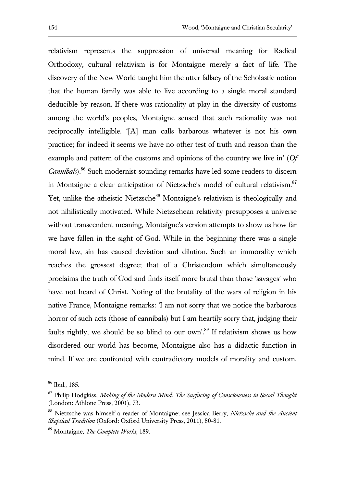relativism represents the suppression of universal meaning for Radical Orthodoxy, cultural relativism is for Montaigne merely a fact of life. The discovery of the New World taught him the utter fallacy of the Scholastic notion that the human family was able to live according to a single moral standard deducible by reason. If there was rationality at play in the diversity of customs among the world's peoples, Montaigne sensed that such rationality was not reciprocally intelligible. '[A] man calls barbarous whatever is not his own practice; for indeed it seems we have no other test of truth and reason than the example and pattern of the customs and opinions of the country we live in' (*Of Cannibals*).<sup>86</sup> Such modernist-sounding remarks have led some readers to discern in Montaigne a clear anticipation of Nietzsche's model of cultural relativism.<sup>87</sup> Yet, unlike the atheistic Nietzsche<sup>88</sup> Montaigne's relativism is theologically and not nihilistically motivated. While Nietzschean relativity presupposes a universe without transcendent meaning, Montaigne's version attempts to show us how far we have fallen in the sight of God. While in the beginning there was a single moral law, sin has caused deviation and dilution. Such an immorality which reaches the grossest degree; that of a Christendom which simultaneously proclaims the truth of God and finds itself more brutal than those 'savages' who have not heard of Christ. Noting of the brutality of the wars of religion in his native France, Montaigne remarks: 'I am not sorry that we notice the barbarous horror of such acts (those of cannibals) but I am heartily sorry that, judging their faults rightly, we should be so blind to our own'.<sup>89</sup> If relativism shows us how disordered our world has become, Montaigne also has a didactic function in mind. If we are confronted with contradictory models of morality and custom,

<sup>86</sup> Ibid., 185.

<sup>87</sup> Philip Hodgkiss, *Making of the Modern Mind: The Surfacing of Consciousness in Social Thought* (London: Athlone Press, 2001), 73.

<sup>88</sup> Nietzsche was himself a reader of Montaigne; see Jessica Berry, *Nietzsche and the Ancient Skeptical Tradition* (Oxford: Oxford University Press, 2011), 80-81.

<sup>89</sup> Montaigne, *The Complete Works*, 189.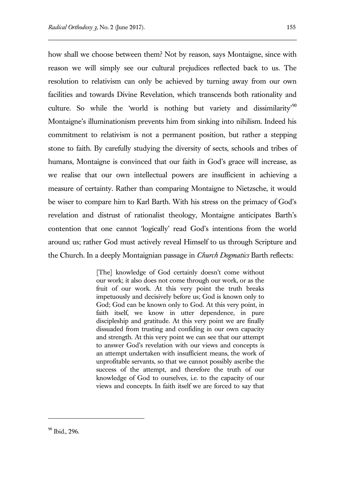how shall we choose between them? Not by reason, says Montaigne, since with reason we will simply see our cultural prejudices reflected back to us. The resolution to relativism can only be achieved by turning away from our own facilities and towards Divine Revelation, which transcends both rationality and culture. So while the 'world is nothing but variety and dissimilarity'<sup>90</sup> Montaigne's illuminationism prevents him from sinking into nihilism. Indeed his commitment to relativism is not a permanent position, but rather a stepping stone to faith. By carefully studying the diversity of sects, schools and tribes of humans, Montaigne is convinced that our faith in God's grace will increase, as we realise that our own intellectual powers are insufficient in achieving a measure of certainty. Rather than comparing Montaigne to Nietzsche, it would be wiser to compare him to Karl Barth. With his stress on the primacy of God's revelation and distrust of rationalist theology, Montaigne anticipates Barth's contention that one cannot 'logically' read God's intentions from the world around us; rather God must actively reveal Himself to us through Scripture and the Church. In a deeply Montaignian passage in *Church Dogmatics* Barth reflects:

> [The] knowledge of God certainly doesn't come without our work; it also does not come through our work, or as the fruit of our work. At this very point the truth breaks impetuously and decisively before us; God is known only to God; God can be known only to God. At this very point, in faith itself, we know in utter dependence, in pure discipleship and gratitude. At this very point we are finally dissuaded from trusting and confiding in our own capacity and strength. At this very point we can see that our attempt to answer God's revelation with our views and concepts is an attempt undertaken with insufficient means, the work of unprofitable servants, so that we cannot possibly ascribe the success of the attempt, and therefore the truth of our knowledge of God to ourselves, i.e. to the capacity of our views and concepts. In faith itself we are forced to say that

<sup>90</sup> Ibid., 296.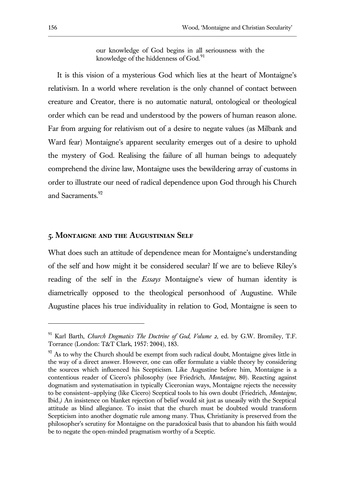our knowledge of God begins in all seriousness with the knowledge of the hiddenness of  $God.^{91}$ .

It is this vision of a mysterious God which lies at the heart of Montaigne's relativism. In a world where revelation is the only channel of contact between creature and Creator, there is no automatic natural, ontological or theological order which can be read and understood by the powers of human reason alone. Far from arguing for relativism out of a desire to negate values (as Milbank and Ward fear) Montaigne's apparent secularity emerges out of a desire to uphold the mystery of God. Realising the failure of all human beings to adequately comprehend the divine law, Montaigne uses the bewildering array of customs in order to illustrate our need of radical dependence upon God through his Church and Sacraments.<sup>92</sup>

#### **5. Montaigne and the Augustinian Self**

What does such an attitude of dependence mean for Montaigne's understanding of the self and how might it be considered secular? If we are to believe Riley's reading of the self in the *Essays* Montaigne's view of human identity is diametrically opposed to the theological personhood of Augustine. While Augustine places his true individuality in relation to God, Montaigne is seen to

<sup>91</sup> Karl Barth, *Church Dogmatics The Doctrine of God, Volume 2*, ed. by G.W. Bromiley, T.F. Torrance (London: T&T Clark, 1957: 2004), 183.

 $92$  As to why the Church should be exempt from such radical doubt, Montaigne gives little in the way of a direct answer. However, one can offer formulate a viable theory by considering the sources which influenced his Scepticism. Like Augustine before him, Montaigne is a contentious reader of Cicero's philosophy (see Friedrich, *Montaigne*, 80). Reacting against dogmatism and systematisation in typically Ciceronian ways, Montaigne rejects the necessity to be consistent—applying (like Cicero) Sceptical tools to his own doubt (Friedrich, *Montaigne*, Ibid.*)* An insistence on blanket rejection of belief would sit just as uneasily with the Sceptical attitude as blind allegiance. To insist that the church must be doubted would transform Scepticism into another dogmatic rule among many. Thus, Christianity is preserved from the philosopher's scrutiny for Montaigne on the paradoxical basis that to abandon his faith would be to negate the open-minded pragmatism worthy of a Sceptic.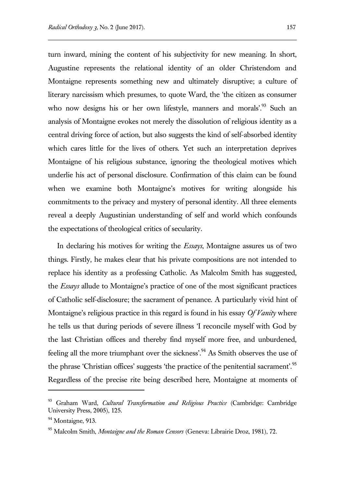turn inward, mining the content of his subjectivity for new meaning. In short, Augustine represents the relational identity of an older Christendom and Montaigne represents something new and ultimately disruptive; a culture of literary narcissism which presumes, to quote Ward, the 'the citizen as consumer who now designs his or her own lifestyle, manners and morals'.<sup>93</sup> Such an analysis of Montaigne evokes not merely the dissolution of religious identity as a central driving force of action, but also suggests the kind of self-absorbed identity which cares little for the lives of others. Yet such an interpretation deprives Montaigne of his religious substance, ignoring the theological motives which underlie his act of personal disclosure. Confirmation of this claim can be found when we examine both Montaigne's motives for writing alongside his commitments to the privacy and mystery of personal identity. All three elements reveal a deeply Augustinian understanding of self and world which confounds the expectations of theological critics of secularity.

In declaring his motives for writing the *Essays*, Montaigne assures us of two things. Firstly, he makes clear that his private compositions are not intended to replace his identity as a professing Catholic. As Malcolm Smith has suggested, the *Essays* allude to Montaigne's practice of one of the most significant practices of Catholic self-disclosure; the sacrament of penance. A particularly vivid hint of Montaigne's religious practice in this regard is found in his essay *Of Vanity* where he tells us that during periods of severe illness 'I reconcile myself with God by the last Christian offices and thereby find myself more free, and unburdened, feeling all the more triumphant over the sickness'.<sup>94</sup> As Smith observes the use of the phrase 'Christian offices' suggests 'the practice of the penitential sacrament'.<sup>95</sup> Regardless of the precise rite being described here, Montaigne at moments of

<sup>93</sup> Graham Ward, *Cultural Transformation and Religious Practice* (Cambridge: Cambridge University Press, 2005), 125.

<sup>&</sup>lt;sup>94</sup> Montaigne, 913.

<sup>95</sup> Malcolm Smith, *Montaigne and the Roman Censors* (Geneva: Librairie Droz, 1981), 72.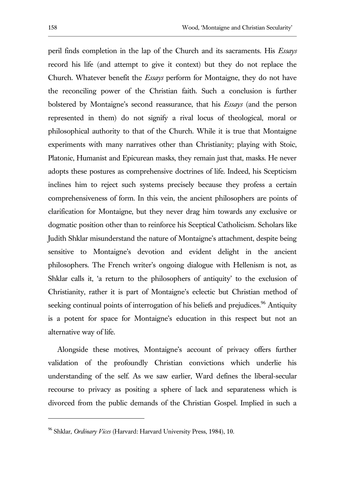peril finds completion in the lap of the Church and its sacraments. His *Essays* record his life (and attempt to give it context) but they do not replace the Church. Whatever benefit the *Essays* perform for Montaigne, they do not have the reconciling power of the Christian faith. Such a conclusion is further bolstered by Montaigne's second reassurance, that his *Essays* (and the person represented in them) do not signify a rival locus of theological, moral or philosophical authority to that of the Church. While it is true that Montaigne experiments with many narratives other than Christianity; playing with Stoic, Platonic, Humanist and Epicurean masks, they remain just that, masks. He never adopts these postures as comprehensive doctrines of life. Indeed, his Scepticism inclines him to reject such systems precisely because they profess a certain comprehensiveness of form. In this vein, the ancient philosophers are points of clarification for Montaigne, but they never drag him towards any exclusive or dogmatic position other than to reinforce his Sceptical Catholicism. Scholars like Judith Shklar misunderstand the nature of Montaigne's attachment, despite being sensitive to Montaigne's devotion and evident delight in the ancient philosophers. The French writer's ongoing dialogue with Hellenism is not, as Shklar calls it, 'a return to the philosophers of antiquity' to the exclusion of Christianity, rather it is part of Montaigne's eclectic but Christian method of seeking continual points of interrogation of his beliefs and prejudices.<sup>96</sup> Antiquity is a potent for space for Montaigne's education in this respect but not an alternative way of life.

Alongside these motives, Montaigne's account of privacy offers further validation of the profoundly Christian convictions which underlie his understanding of the self. As we saw earlier, Ward defines the liberal-secular recourse to privacy as positing a sphere of lack and separateness which is divorced from the public demands of the Christian Gospel. Implied in such a

<sup>96</sup> Shklar, *Ordinary Vices* (Harvard: Harvard University Press, 1984), 10.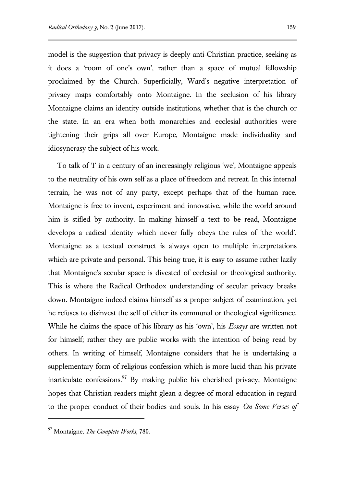model is the suggestion that privacy is deeply anti-Christian practice, seeking as it does a 'room of one's own', rather than a space of mutual fellowship proclaimed by the Church. Superficially, Ward's negative interpretation of privacy maps comfortably onto Montaigne. In the seclusion of his library Montaigne claims an identity outside institutions, whether that is the church or the state. In an era when both monarchies and ecclesial authorities were tightening their grips all over Europe, Montaigne made individuality and idiosyncrasy the subject of his work.

To talk of 'I' in a century of an increasingly religious 'we', Montaigne appeals to the neutrality of his own self as a place of freedom and retreat. In this internal terrain, he was not of any party, except perhaps that of the human race. Montaigne is free to invent, experiment and innovative, while the world around him is stifled by authority. In making himself a text to be read, Montaigne develops a radical identity which never fully obeys the rules of 'the world'. Montaigne as a textual construct is always open to multiple interpretations which are private and personal. This being true, it is easy to assume rather lazily that Montaigne's secular space is divested of ecclesial or theological authority. This is where the Radical Orthodox understanding of secular privacy breaks down. Montaigne indeed claims himself as a proper subject of examination, yet he refuses to disinvest the self of either its communal or theological significance. While he claims the space of his library as his 'own', his *Essays* are written not for himself; rather they are public works with the intention of being read by others. In writing of himself, Montaigne considers that he is undertaking a supplementary form of religious confession which is more lucid than his private inarticulate confessions.<sup>97</sup> By making public his cherished privacy, Montaigne hopes that Christian readers might glean a degree of moral education in regard to the proper conduct of their bodies and souls. In his essay *On Some Verses of* 

<sup>97</sup> Montaigne, *The Complete Works*, 780.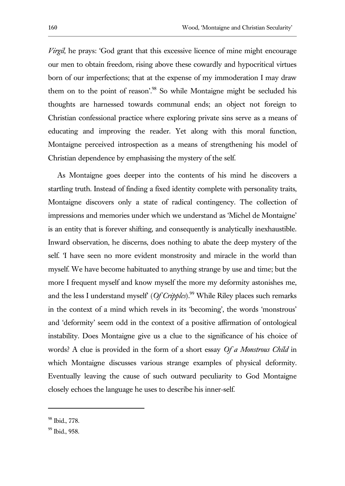*Virgil*, he prays: 'God grant that this excessive licence of mine might encourage our men to obtain freedom, rising above these cowardly and hypocritical virtues born of our imperfections; that at the expense of my immoderation I may draw them on to the point of reason'.<sup>98</sup> So while Montaigne might be secluded his thoughts are harnessed towards communal ends; an object not foreign to Christian confessional practice where exploring private sins serve as a means of educating and improving the reader. Yet along with this moral function, Montaigne perceived introspection as a means of strengthening his model of Christian dependence by emphasising the mystery of the self.

As Montaigne goes deeper into the contents of his mind he discovers a startling truth. Instead of finding a fixed identity complete with personality traits, Montaigne discovers only a state of radical contingency. The collection of impressions and memories under which we understand as 'Michel de Montaigne' is an entity that is forever shifting, and consequently is analytically inexhaustible. Inward observation, he discerns, does nothing to abate the deep mystery of the self. 'I have seen no more evident monstrosity and miracle in the world than myself. We have become habituated to anything strange by use and time; but the more I frequent myself and know myself the more my deformity astonishes me, and the less I understand myself' (*Of Cripples*).<sup>99</sup> While Riley places such remarks in the context of a mind which revels in its 'becoming', the words 'monstrous' and 'deformity' seem odd in the context of a positive affirmation of ontological instability. Does Montaigne give us a clue to the significance of his choice of words? A clue is provided in the form of a short essay *Of a Monstrous Child* in which Montaigne discusses various strange examples of physical deformity. Eventually leaving the cause of such outward peculiarity to God Montaigne closely echoes the language he uses to describe his inner-self.

<sup>98</sup> Ibid., 778.

<sup>&</sup>lt;sup>99</sup> Ibid., 958.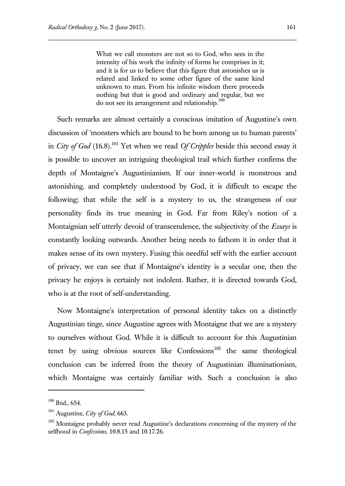What we call monsters are not so to God, who sees in the intensity of his work the infinity of forms he comprises in it; and it is for us to believe that this figure that astonishes us is related and linked to some other figure of the same kind unknown to man. From his infinite wisdom there proceeds nothing but that is good and ordinary and regular, but we do not see its arrangement and relationship.<sup>100</sup>

Such remarks are almost certainly a conscious imitation of Augustine's own discussion of 'monsters which are bound to be born among us to human parents' in *City of God* (16.8).<sup>101</sup> Yet when we read *Of Cripples* beside this second essay it is possible to uncover an intriguing theological trail which further confirms the depth of Montaigne's Augustinianism. If our inner-world is monstrous and astonishing, and completely understood by God, it is difficult to escape the following; that while the self is a mystery to us, the strangeness of our personality finds its true meaning in God. Far from Riley's notion of a Montaignian self utterly devoid of transcendence, the subjectivity of the *Essays* is constantly looking outwards. Another being needs to fathom it in order that it makes sense of its own mystery. Fusing this needful self with the earlier account of privacy, we can see that if Montaigne's identity is a secular one, then the privacy he enjoys is certainly not indolent. Rather, it is directed towards God, who is at the root of self-understanding.

Now Montaigne's interpretation of personal identity takes on a distinctly Augustinian tinge, since Augustine agrees with Montaigne that we are a mystery to ourselves without God. While it is difficult to account for this Augustinian tenet by using obvious sources like  $Conf$  the same theological conclusion can be inferred from the theory of Augustinian illuminationism, which Montaigne was certainly familiar with. Such a conclusion is also

 $100$  Ibid., 654.

<sup>101</sup> Augustine, *City of God*, 663.

<sup>&</sup>lt;sup>102</sup> Montaigne probably never read Augustine's declarations concerning of the mystery of the selfhood in *Confessions*, 10.8.15 and 10.17.26.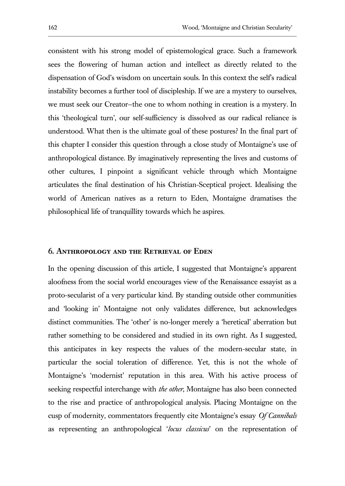consistent with his strong model of epistemological grace. Such a framework sees the flowering of human action and intellect as directly related to the dispensation of God's wisdom on uncertain souls. In this context the self's radical instability becomes a further tool of discipleship. If we are a mystery to ourselves, we must seek our Creator—the one to whom nothing in creation is a mystery. In this 'theological turn', our self-sufficiency is dissolved as our radical reliance is understood. What then is the ultimate goal of these postures? In the final part of this chapter I consider this question through a close study of Montaigne's use of anthropological distance. By imaginatively representing the lives and customs of other cultures, I pinpoint a significant vehicle through which Montaigne articulates the final destination of his Christian-Sceptical project. Idealising the world of American natives as a return to Eden, Montaigne dramatises the philosophical life of tranquillity towards which he aspires.

#### **6. Anthropology and the Retrieval of Eden**

In the opening discussion of this article, I suggested that Montaigne's apparent aloofness from the social world encourages view of the Renaissance essayist as a proto-secularist of a very particular kind. By standing outside other communities and 'looking in' Montaigne not only validates difference, but acknowledges distinct communities. The 'other' is no-longer merely a 'heretical' aberration but rather something to be considered and studied in its own right. As I suggested, this anticipates in key respects the values of the modern-secular state, in particular the social toleration of difference. Yet, this is not the whole of Montaigne's 'modernist' reputation in this area. With his active process of seeking respectful interchange with *the other*, Montaigne has also been connected to the rise and practice of anthropological analysis. Placing Montaigne on the cusp of modernity, commentators frequently cite Montaigne's essay *Of Cannibals* as representing an anthropological '*locus classicus*' on the representation of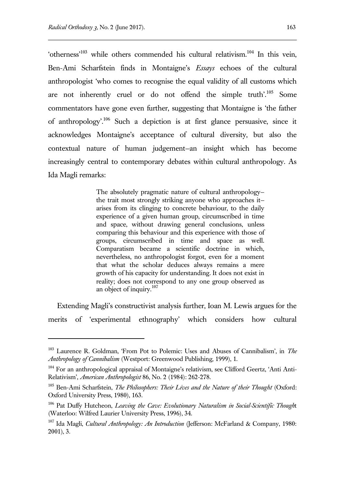l

'otherness'<sup>103</sup> while others commended his cultural relativism.<sup>104</sup> In this vein, Ben-Ami Scharfstein finds in Montaigne's *Essays* echoes of the cultural anthropologist 'who comes to recognise the equal validity of all customs which are not inherently cruel or do not offend the simple truth'.<sup>105</sup> Some commentators have gone even further, suggesting that Montaigne is 'the father of anthropology'.<sup>106</sup> Such a depiction is at first glance persuasive, since it acknowledges Montaigne's acceptance of cultural diversity, but also the contextual nature of human judgement—an insight which has become increasingly central to contemporary debates within cultural anthropology. As Ida Magli remarks:

> The absolutely pragmatic nature of cultural anthropology the trait most strongly striking anyone who approaches it arises from its clinging to concrete behaviour, to the daily experience of a given human group, circumscribed in time and space, without drawing general conclusions, unless comparing this behaviour and this experience with those of groups, circumscribed in time and space as well. Comparatism became a scientific doctrine in which, nevertheless, no anthropologist forgot, even for a moment that what the scholar deduces always remains a mere growth of his capacity for understanding. It does not exist in reality; does not correspond to any one group observed as an object of inquiry.<sup>107</sup>

Extending Magli's constructivist analysis further, Ioan M. Lewis argues for the merits of 'experimental ethnography' which considers how cultural

<sup>103</sup> Laurence R. Goldman, 'From Pot to Polemic: Uses and Abuses of Cannibalism', in *The Anthropology of Cannibalism* (Westport: Greenwood Publishing, 1999), 1.

<sup>&</sup>lt;sup>104</sup> For an anthropological appraisal of Montaigne's relativism, see Clifford Geertz, 'Anti Anti-Relativism', *American Anthropologist* 86, No. 2 (1984): 262-278.

<sup>105</sup> Ben-Ami Scharfstein, *The Philosophers: Their Lives and the Nature of their Thought* (Oxford: Oxford University Press, 1980), 163.

<sup>106</sup> Pat Duffy Hutcheon, *Leaving the Cave: Evolutionary Naturalism in Social-Scientific Though*t (Waterloo: Wilfred Laurier University Press, 1996), 34.

<sup>107</sup> Ida Magli, *Cultural Anthropology: An Introduction* (Jefferson: McFarland & Company, 1980: 2001), 3.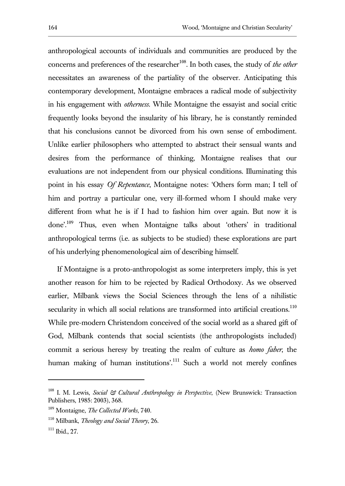anthropological accounts of individuals and communities are produced by the concerns and preferences of the researcher<sup>108</sup>. In both cases, the study of *the other* necessitates an awareness of the partiality of the observer. Anticipating this contemporary development, Montaigne embraces a radical mode of subjectivity in his engagement with *otherness*. While Montaigne the essayist and social critic frequently looks beyond the insularity of his library, he is constantly reminded that his conclusions cannot be divorced from his own sense of embodiment. Unlike earlier philosophers who attempted to abstract their sensual wants and desires from the performance of thinking, Montaigne realises that our evaluations are not independent from our physical conditions. Illuminating this point in his essay *Of Repentance*, Montaigne notes: 'Others form man; I tell of him and portray a particular one, very ill-formed whom I should make very different from what he is if I had to fashion him over again. But now it is done'.<sup>109</sup> Thus, even when Montaigne talks about 'others' in traditional anthropological terms (i.e. as subjects to be studied) these explorations are part of his underlying phenomenological aim of describing himself.

If Montaigne is a proto-anthropologist as some interpreters imply, this is yet another reason for him to be rejected by Radical Orthodoxy. As we observed earlier, Milbank views the Social Sciences through the lens of a nihilistic secularity in which all social relations are transformed into artificial creations.<sup>110</sup> While pre-modern Christendom conceived of the social world as a shared gift of God, Milbank contends that social scientists (the anthropologists included) commit a serious heresy by treating the realm of culture as *homo faber*, the human making of human institutions'.<sup>111</sup> Such a world not merely confines

<sup>108</sup> I. M. Lewis, *Social & Cultural Anthropology in Perspective*, (New Brunswick: Transaction Publishers, 1985: 2003), 368.

<sup>109</sup> Montaigne, *The Collected Works*, 740.

<sup>110</sup> Milbank, *Theology and Social Theory*, 26.

<sup>111</sup> Ibid., 27.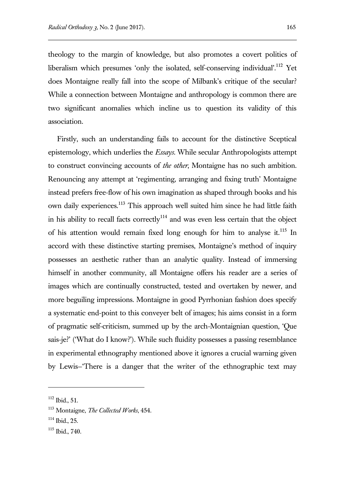theology to the margin of knowledge, but also promotes a covert politics of liberalism which presumes 'only the isolated, self-conserving individual'.<sup>112</sup> Yet does Montaigne really fall into the scope of Milbank's critique of the secular? While a connection between Montaigne and anthropology is common there are two significant anomalies which incline us to question its validity of this association.

Firstly, such an understanding fails to account for the distinctive Sceptical epistemology, which underlies the *Essays*. While secular Anthropologists attempt to construct convincing accounts of *the other*, Montaigne has no such ambition. Renouncing any attempt at 'regimenting, arranging and fixing truth' Montaigne instead prefers free-flow of his own imagination as shaped through books and his own daily experiences.<sup>113</sup> This approach well suited him since he had little faith in his ability to recall facts correctly<sup>114</sup> and was even less certain that the object of his attention would remain fixed long enough for him to analyse it.<sup>115</sup> In accord with these distinctive starting premises, Montaigne's method of inquiry possesses an aesthetic rather than an analytic quality. Instead of immersing himself in another community, all Montaigne offers his reader are a series of images which are continually constructed, tested and overtaken by newer, and more beguiling impressions. Montaigne in good Pyrrhonian fashion does specify a systematic end-point to this conveyer belt of images; his aims consist in a form of pragmatic self-criticism, summed up by the arch-Montaignian question, 'Que sais-je?' ('What do I know?'). While such fluidity possesses a passing resemblance in experimental ethnography mentioned above it ignores a crucial warning given by Lewis—'There is a danger that the writer of the ethnographic text may

<sup>112</sup> Ibid., 51.

<sup>113</sup> Montaigne, *The Collected Works*, 454.

 $114$  Ibid., 25.

<sup>115</sup> Ibid., 740.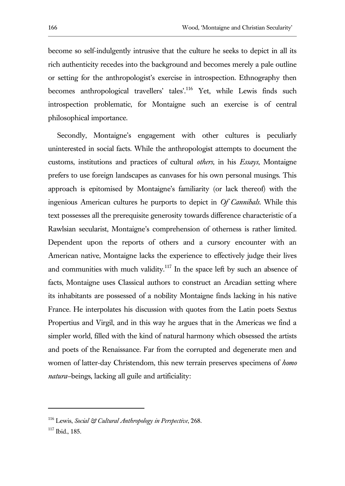become so self-indulgently intrusive that the culture he seeks to depict in all its rich authenticity recedes into the background and becomes merely a pale outline or setting for the anthropologist's exercise in introspection. Ethnography then becomes anthropological travellers' tales'.<sup>116</sup> Yet, while Lewis finds such introspection problematic, for Montaigne such an exercise is of central philosophical importance.

Secondly, Montaigne's engagement with other cultures is peculiarly uninterested in social facts. While the anthropologist attempts to document the customs, institutions and practices of cultural *others*, in his *Essays*, Montaigne prefers to use foreign landscapes as canvases for his own personal musings. This approach is epitomised by Montaigne's familiarity (or lack thereof) with the ingenious American cultures he purports to depict in *Of Cannibals*. While this text possesses all the prerequisite generosity towards difference characteristic of a Rawlsian secularist, Montaigne's comprehension of otherness is rather limited. Dependent upon the reports of others and a cursory encounter with an American native, Montaigne lacks the experience to effectively judge their lives and communities with much validity.<sup>117</sup> In the space left by such an absence of facts, Montaigne uses Classical authors to construct an Arcadian setting where its inhabitants are possessed of a nobility Montaigne finds lacking in his native France. He interpolates his discussion with quotes from the Latin poets Sextus Propertius and Virgil, and in this way he argues that in the Americas we find a simpler world, filled with the kind of natural harmony which obsessed the artists and poets of the Renaissance. Far from the corrupted and degenerate men and women of latter-day Christendom, this new terrain preserves specimens of *homo natura—*beings, lacking all guile and artificiality:

<sup>116</sup> Lewis, *Social & Cultural Anthropology in Perspective*, 268.

<sup>117</sup> Ibid., 185.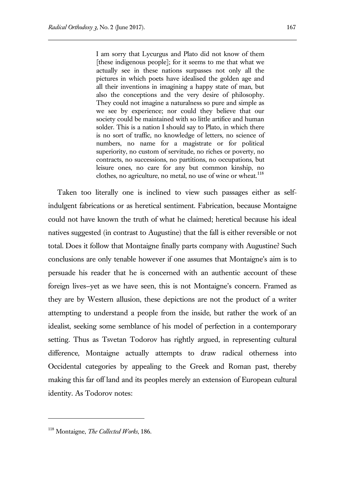I am sorry that Lycurgus and Plato did not know of them [these indigenous people]; for it seems to me that what we actually see in these nations surpasses not only all the pictures in which poets have idealised the golden age and all their inventions in imagining a happy state of man, but also the conceptions and the very desire of philosophy. They could not imagine a naturalness so pure and simple as we see by experience; nor could they believe that our society could be maintained with so little artifice and human solder. This is a nation I should say to Plato, in which there is no sort of traffic, no knowledge of letters, no science of numbers, no name for a magistrate or for political superiority, no custom of servitude, no riches or poverty, no contracts, no successions, no partitions, no occupations, but leisure ones, no care for any but common kinship, no clothes, no agriculture, no metal, no use of wine or wheat.<sup>118</sup>

Taken too literally one is inclined to view such passages either as selfindulgent fabrications or as heretical sentiment. Fabrication, because Montaigne could not have known the truth of what he claimed; heretical because his ideal natives suggested (in contrast to Augustine) that the fall is either reversible or not total. Does it follow that Montaigne finally parts company with Augustine? Such conclusions are only tenable however if one assumes that Montaigne's aim is to persuade his reader that he is concerned with an authentic account of these foreign lives—yet as we have seen, this is not Montaigne's concern. Framed as they are by Western allusion, these depictions are not the product of a writer attempting to understand a people from the inside, but rather the work of an idealist, seeking some semblance of his model of perfection in a contemporary setting. Thus as Tsvetan Todorov has rightly argued, in representing cultural difference, Montaigne actually attempts to draw radical otherness into Occidental categories by appealing to the Greek and Roman past, thereby making this far off land and its peoples merely an extension of European cultural identity. As Todorov notes:

<sup>118</sup> Montaigne, *The Collected Works*, 186.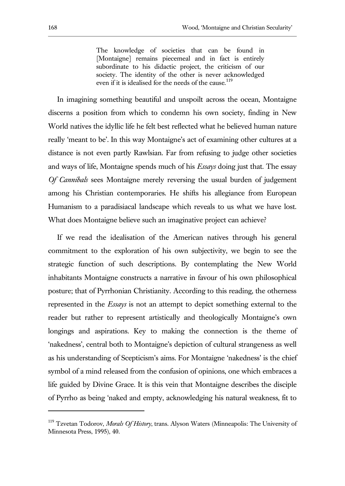The knowledge of societies that can be found in [Montaigne] remains piecemeal and in fact is entirely subordinate to his didactic project, the criticism of our society. The identity of the other is never acknowledged even if it is idealised for the needs of the cause.<sup>119</sup>

In imagining something beautiful and unspoilt across the ocean, Montaigne discerns a position from which to condemn his own society, finding in New World natives the idyllic life he felt best reflected what he believed human nature really 'meant to be'. In this way Montaigne's act of examining other cultures at a distance is not even partly Rawlsian. Far from refusing to judge other societies and ways of life, Montaigne spends much of his *Essays* doing just that. The essay *Of Cannibals* sees Montaigne merely reversing the usual burden of judgement among his Christian contemporaries. He shifts his allegiance from European Humanism to a paradisiacal landscape which reveals to us what we have lost. What does Montaigne believe such an imaginative project can achieve?

If we read the idealisation of the American natives through his general commitment to the exploration of his own subjectivity, we begin to see the strategic function of such descriptions. By contemplating the New World inhabitants Montaigne constructs a narrative in favour of his own philosophical posture; that of Pyrrhonian Christianity. According to this reading, the otherness represented in the *Essays* is not an attempt to depict something external to the reader but rather to represent artistically and theologically Montaigne's own longings and aspirations. Key to making the connection is the theme of 'nakedness', central both to Montaigne's depiction of cultural strangeness as well as his understanding of Scepticism's aims. For Montaigne 'nakedness' is the chief symbol of a mind released from the confusion of opinions, one which embraces a life guided by Divine Grace. It is this vein that Montaigne describes the disciple of Pyrrho as being 'naked and empty, acknowledging his natural weakness, fit to

<sup>119</sup> Tzvetan Todorov, *Morals Of History*, trans. Alyson Waters (Minneapolis: The University of Minnesota Press, 1995), 40.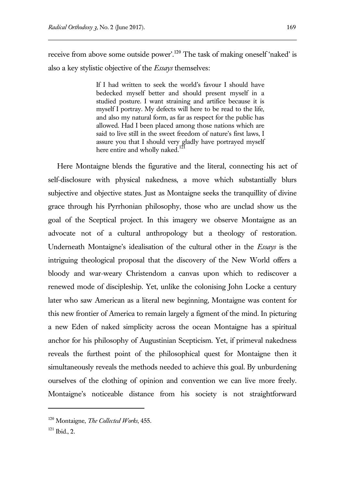receive from above some outside power'.<sup>120</sup> The task of making oneself 'naked' is also a key stylistic objective of the *Essays* themselves:

> If I had written to seek the world's favour I should have bedecked myself better and should present myself in a studied posture. I want straining and artifice because it is myself I portray. My defects will here to be read to the life, and also my natural form, as far as respect for the public has allowed. Had I been placed among those nations which are said to live still in the sweet freedom of nature's first laws, I assure you that I should very gladly have portrayed myself here entire and wholly naked.<sup>12</sup>

Here Montaigne blends the figurative and the literal, connecting his act of self-disclosure with physical nakedness, a move which substantially blurs subjective and objective states. Just as Montaigne seeks the tranquillity of divine grace through his Pyrrhonian philosophy, those who are unclad show us the goal of the Sceptical project. In this imagery we observe Montaigne as an advocate not of a cultural anthropology but a theology of restoration. Underneath Montaigne's idealisation of the cultural other in the *Essays* is the intriguing theological proposal that the discovery of the New World offers a bloody and war-weary Christendom a canvas upon which to rediscover a renewed mode of discipleship. Yet, unlike the colonising John Locke a century later who saw American as a literal new beginning, Montaigne was content for this new frontier of America to remain largely a figment of the mind. In picturing a new Eden of naked simplicity across the ocean Montaigne has a spiritual anchor for his philosophy of Augustinian Scepticism. Yet, if primeval nakedness reveals the furthest point of the philosophical quest for Montaigne then it simultaneously reveals the methods needed to achieve this goal. By unburdening ourselves of the clothing of opinion and convention we can live more freely. Montaigne's noticeable distance from his society is not straightforward

 $121$  Ibid., 2.

<sup>120</sup> Montaigne, *The Collected Works*, 455.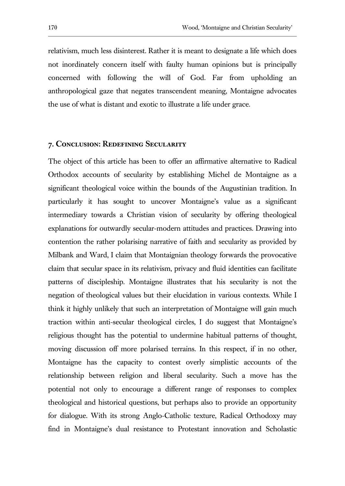relativism, much less disinterest. Rather it is meant to designate a life which does not inordinately concern itself with faulty human opinions but is principally concerned with following the will of God. Far from upholding an anthropological gaze that negates transcendent meaning, Montaigne advocates the use of what is distant and exotic to illustrate a life under grace.

#### **7. Conclusion: Redefining Secularity**

The object of this article has been to offer an affirmative alternative to Radical Orthodox accounts of secularity by establishing Michel de Montaigne as a significant theological voice within the bounds of the Augustinian tradition. In particularly it has sought to uncover Montaigne's value as a significant intermediary towards a Christian vision of secularity by offering theological explanations for outwardly secular-modern attitudes and practices. Drawing into contention the rather polarising narrative of faith and secularity as provided by Milbank and Ward, I claim that Montaignian theology forwards the provocative claim that secular space in its relativism, privacy and fluid identities can facilitate patterns of discipleship. Montaigne illustrates that his secularity is not the negation of theological values but their elucidation in various contexts. While I think it highly unlikely that such an interpretation of Montaigne will gain much traction within anti-secular theological circles, I do suggest that Montaigne's religious thought has the potential to undermine habitual patterns of thought, moving discussion off more polarised terrains. In this respect, if in no other, Montaigne has the capacity to contest overly simplistic accounts of the relationship between religion and liberal secularity. Such a move has the potential not only to encourage a different range of responses to complex theological and historical questions, but perhaps also to provide an opportunity for dialogue. With its strong Anglo-Catholic texture, Radical Orthodoxy may find in Montaigne's dual resistance to Protestant innovation and Scholastic